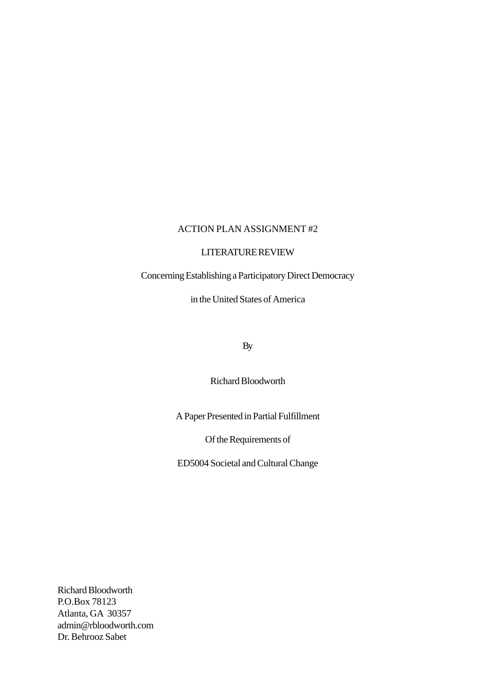# ACTION PLAN ASSIGNMENT #2

## LITERATURE REVIEW

# Concerning Establishing a Participatory Direct Democracy

in the United States of America

By

Richard Bloodworth

A Paper Presented in Partial Fulfillment

Of the Requirements of

ED5004 Societal and Cultural Change

Richard Bloodworth P.O.Box 78123 Atlanta, GA 30357 admin@rbloodworth.com Dr. Behrooz Sabet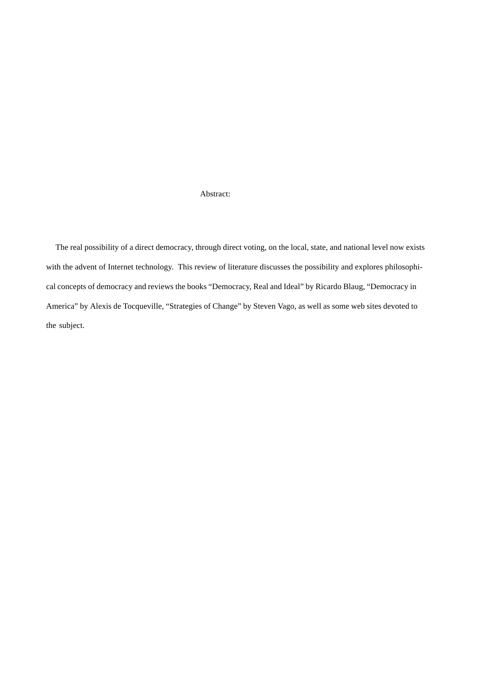#### Abstract:

 The real possibility of a direct democracy, through direct voting, on the local, state, and national level now exists with the advent of Internet technology. This review of literature discusses the possibility and explores philosophical concepts of democracy and reviews the books "Democracy, Real and Ideal" by Ricardo Blaug, "Democracy in America" by Alexis de Tocqueville, "Strategies of Change" by Steven Vago, as well as some web sites devoted to the subject.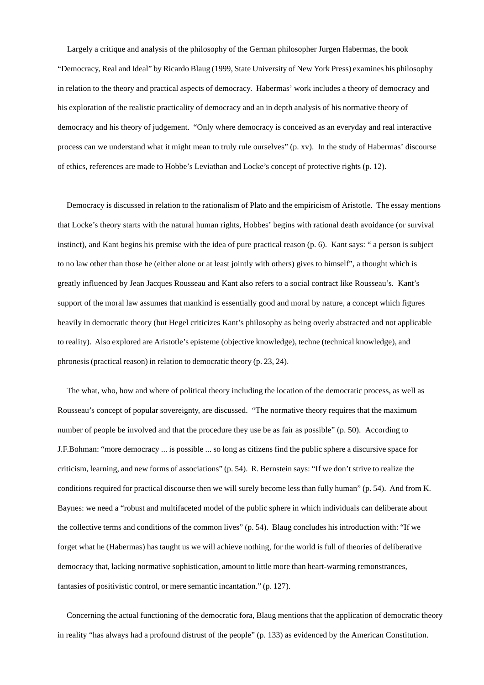Largely a critique and analysis of the philosophy of the German philosopher Jurgen Habermas, the book "Democracy, Real and Ideal" by Ricardo Blaug (1999, State University of New York Press) examines his philosophy in relation to the theory and practical aspects of democracy. Habermas' work includes a theory of democracy and his exploration of the realistic practicality of democracy and an in depth analysis of his normative theory of democracy and his theory of judgement. "Only where democracy is conceived as an everyday and real interactive process can we understand what it might mean to truly rule ourselves" (p. xv). In the study of Habermas' discourse of ethics, references are made to Hobbe's Leviathan and Locke's concept of protective rights (p. 12).

 Democracy is discussed in relation to the rationalism of Plato and the empiricism of Aristotle. The essay mentions that Locke's theory starts with the natural human rights, Hobbes' begins with rational death avoidance (or survival instinct), and Kant begins his premise with the idea of pure practical reason (p. 6). Kant says: " a person is subject to no law other than those he (either alone or at least jointly with others) gives to himself", a thought which is greatly influenced by Jean Jacques Rousseau and Kant also refers to a social contract like Rousseau's. Kant's support of the moral law assumes that mankind is essentially good and moral by nature, a concept which figures heavily in democratic theory (but Hegel criticizes Kant's philosophy as being overly abstracted and not applicable to reality). Also explored are Aristotle's episteme (objective knowledge), techne (technical knowledge), and phronesis (practical reason) in relation to democratic theory (p. 23, 24).

 The what, who, how and where of political theory including the location of the democratic process, as well as Rousseau's concept of popular sovereignty, are discussed. "The normative theory requires that the maximum number of people be involved and that the procedure they use be as fair as possible" (p. 50). According to J.F.Bohman: "more democracy ... is possible ... so long as citizens find the public sphere a discursive space for criticism, learning, and new forms of associations" (p. 54). R. Bernstein says: "If we don't strive to realize the conditions required for practical discourse then we will surely become less than fully human" (p. 54). And from K. Baynes: we need a "robust and multifaceted model of the public sphere in which individuals can deliberate about the collective terms and conditions of the common lives" (p. 54). Blaug concludes his introduction with: "If we forget what he (Habermas) has taught us we will achieve nothing, for the world is full of theories of deliberative democracy that, lacking normative sophistication, amount to little more than heart-warming remonstrances, fantasies of positivistic control, or mere semantic incantation." (p. 127).

 Concerning the actual functioning of the democratic fora, Blaug mentions that the application of democratic theory in reality "has always had a profound distrust of the people" (p. 133) as evidenced by the American Constitution.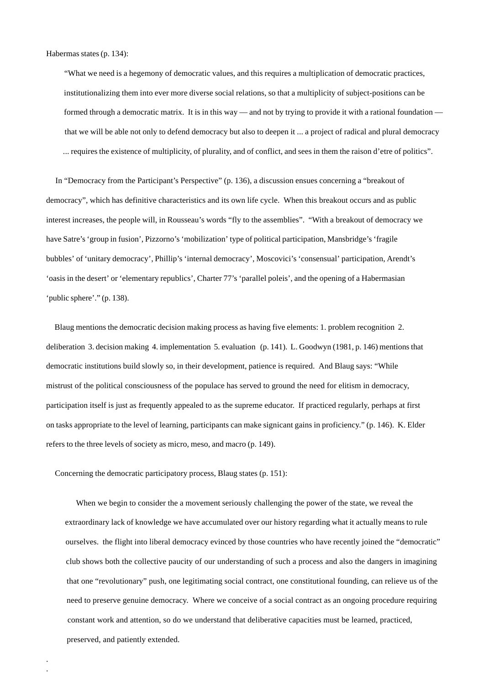Habermas states (p. 134):

 "What we need is a hegemony of democratic values, and this requires a multiplication of democratic practices, institutionalizing them into ever more diverse social relations, so that a multiplicity of subject-positions can be formed through a democratic matrix. It is in this way — and not by trying to provide it with a rational foundation that we will be able not only to defend democracy but also to deepen it ... a project of radical and plural democracy ... requires the existence of multiplicity, of plurality, and of conflict, and sees in them the raison d'etre of politics".

 In "Democracy from the Participant's Perspective" (p. 136), a discussion ensues concerning a "breakout of democracy", which has definitive characteristics and its own life cycle. When this breakout occurs and as public interest increases, the people will, in Rousseau's words "fly to the assemblies". "With a breakout of democracy we have Satre's 'group in fusion', Pizzorno's 'mobilization' type of political participation, Mansbridge's 'fragile bubbles' of 'unitary democracy', Phillip's 'internal democracy', Moscovici's 'consensual' participation, Arendt's 'oasis in the desert' or 'elementary republics', Charter 77's 'parallel poleis', and the opening of a Habermasian 'public sphere'." (p. 138).

 Blaug mentions the democratic decision making process as having five elements: 1. problem recognition 2. deliberation 3. decision making 4. implementation 5. evaluation (p. 141). L. Goodwyn (1981, p. 146) mentions that democratic institutions build slowly so, in their development, patience is required. And Blaug says: "While mistrust of the political consciousness of the populace has served to ground the need for elitism in democracy, participation itself is just as frequently appealed to as the supreme educator. If practiced regularly, perhaps at first on tasks appropriate to the level of learning, participants can make signicant gains in proficiency." (p. 146). K. Elder refers to the three levels of society as micro, meso, and macro (p. 149).

Concerning the democratic participatory process, Blaug states (p. 151):

. .

When we begin to consider the a movement seriously challenging the power of the state, we reveal the extraordinary lack of knowledge we have accumulated over our history regarding what it actually means to rule ourselves. the flight into liberal democracy evinced by those countries who have recently joined the "democratic" club shows both the collective paucity of our understanding of such a process and also the dangers in imagining that one "revolutionary" push, one legitimating social contract, one constitutional founding, can relieve us of the need to preserve genuine democracy. Where we conceive of a social contract as an ongoing procedure requiring constant work and attention, so do we understand that deliberative capacities must be learned, practiced, preserved, and patiently extended.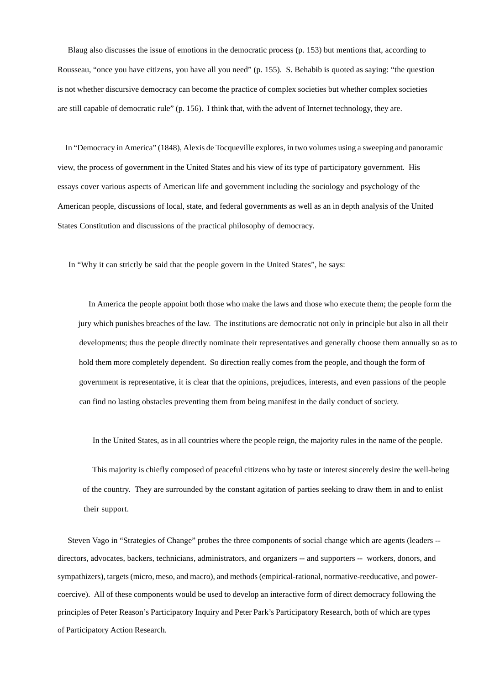Blaug also discusses the issue of emotions in the democratic process (p. 153) but mentions that, according to Rousseau, "once you have citizens, you have all you need" (p. 155). S. Behabib is quoted as saying: "the question is not whether discursive democracy can become the practice of complex societies but whether complex societies are still capable of democratic rule" (p. 156). I think that, with the advent of Internet technology, they are.

 In "Democracy in America" (1848), Alexis de Tocqueville explores, in two volumes using a sweeping and panoramic view, the process of government in the United States and his view of its type of participatory government. His essays cover various aspects of American life and government including the sociology and psychology of the American people, discussions of local, state, and federal governments as well as an in depth analysis of the United States Constitution and discussions of the practical philosophy of democracy.

In "Why it can strictly be said that the people govern in the United States", he says:

 In America the people appoint both those who make the laws and those who execute them; the people form the jury which punishes breaches of the law. The institutions are democratic not only in principle but also in all their developments; thus the people directly nominate their representatives and generally choose them annually so as to hold them more completely dependent. So direction really comes from the people, and though the form of government is representative, it is clear that the opinions, prejudices, interests, and even passions of the people can find no lasting obstacles preventing them from being manifest in the daily conduct of society.

In the United States, as in all countries where the people reign, the majority rules in the name of the people.

 This majority is chiefly composed of peaceful citizens who by taste or interest sincerely desire the well-being of the country. They are surrounded by the constant agitation of parties seeking to draw them in and to enlist their support.

 Steven Vago in "Strategies of Change" probes the three components of social change which are agents (leaders - directors, advocates, backers, technicians, administrators, and organizers -- and supporters -- workers, donors, and sympathizers), targets (micro, meso, and macro), and methods (empirical-rational, normative-reeducative, and powercoercive). All of these components would be used to develop an interactive form of direct democracy following the principles of Peter Reason's Participatory Inquiry and Peter Park's Participatory Research, both of which are types of Participatory Action Research.